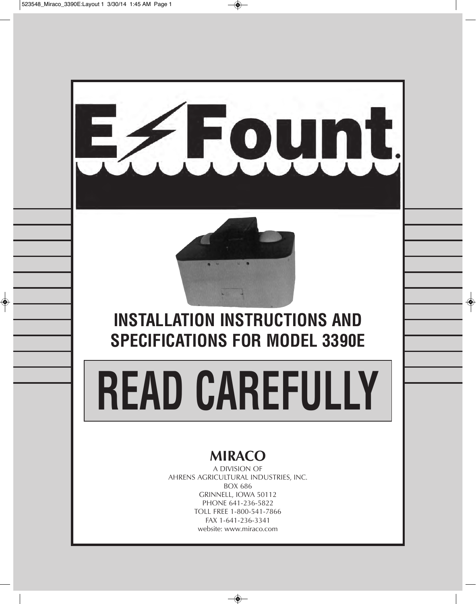

# **MIRACO**

A DIVISION OF AHRENS AGRICULTURAL INDUSTRIES, INC. BOX 686 GRINNELL, IOWA 50112 PHONE 641-236-5822 TOLL FREE 1-800-541-7866 FAX 1-641-236-3341 website: www.miraco.com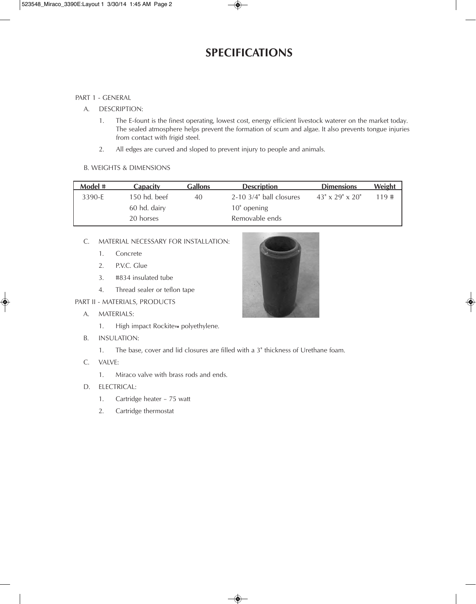## **SPECIFICATIONS**

#### PART 1 - GENERAL

- A. DESCRIPTION:
	- 1. The E-fount is the finest operating, lowest cost, energy efficient livestock waterer on the market today. The sealed atmosphere helps prevent the formation of scum and algae. It also prevents tongue injuries from contact with frigid steel.
	- 2. All edges are curved and sloped to prevent injury to people and animals.

#### B. WEIGHTS & DIMENSIONS

| Model # | <b>Capacity</b> | <b>Gallons</b> | <b>Description</b>           | <b>Dimensions</b>              | <b>Weight</b> |
|---------|-----------------|----------------|------------------------------|--------------------------------|---------------|
| 3390-E  | $150$ hd. beef  | 40             | $2-10$ $3/4$ " ball closures | $43'' \times 29'' \times 20''$ | 119#          |
|         | 60 hd. dairy    |                | $10"$ opening                |                                |               |
|         | 20 horses       |                | Removable ends               |                                |               |

#### C. MATERIAL NECESSARY FOR INSTALLATION:

- 1. Concrete
- 2. P.V.C. Glue
- 3. #834 insulated tube
- 4. Thread sealer or teflon tape

PART II - MATERIALS, PRODUCTS

- A. MATERIALS:
	- 1. High impact Rockite™ polyethylene.
- B. INSULATION:
	- 1. The base, cover and lid closures are filled with a 3" thickness of Urethane foam.
- C. VALVE:
	- 1. Miraco valve with brass rods and ends.
- D. ELECTRICAL:
	- 1. Cartridge heater 75 watt
	- 2. Cartridge thermostat

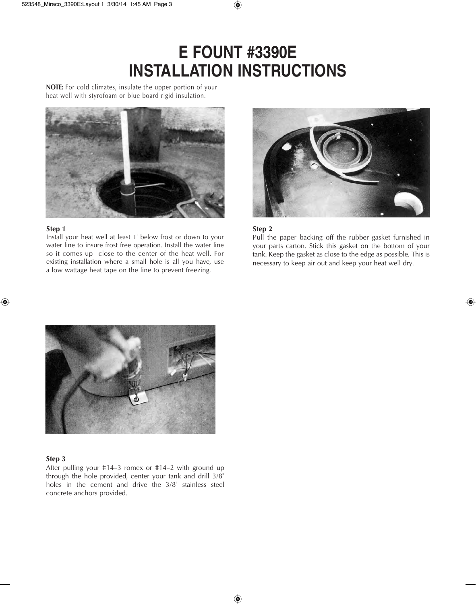# **E FOUNT #3390E INSTALLATION INSTRUCTIONS**

**NOTE:** For cold climates, insulate the upper portion of your heat well with styrofoam or blue board rigid insulation.



#### **Step 1**

Install your heat well at least 1' below frost or down to your water line to insure frost free operation. Install the water line so it comes up close to the center of the heat well. For existing installation where a small hole is all you have, use a low wattage heat tape on the line to prevent freezing.



#### **Step 2**

Pull the paper backing off the rubber gasket furnished in your parts carton. Stick this gasket on the bottom of your tank. Keep the gasket as close to the edge as possible. This is necessary to keep air out and keep your heat well dry.



#### **Step 3**

After pulling your #14–3 romex or #14–2 with ground up through the hole provided, center your tank and drill 3/8" holes in the cement and drive the 3/8" stainless steel concrete anchors provided.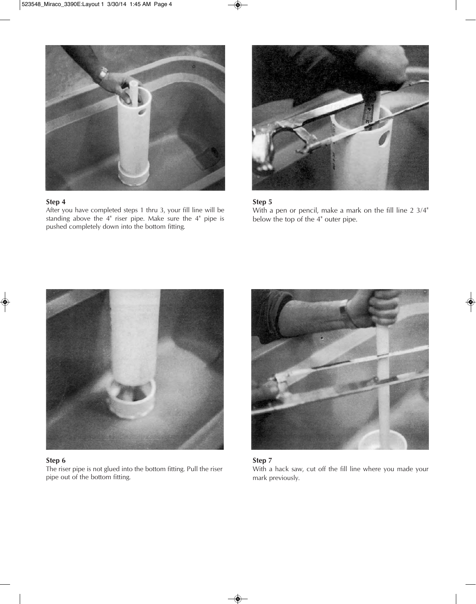

After you have completed steps 1 thru 3, your fill line will be standing above the 4" riser pipe. Make sure the 4" pipe is pushed completely down into the bottom fitting.



**Step 5**

With a pen or pencil, make a mark on the fill line 2 3/4" below the top of the 4" outer pipe.



#### **Step 6**

The riser pipe is not glued into the bottom fitting. Pull the riser pipe out of the bottom fitting.





With a hack saw, cut off the fill line where you made your mark previously.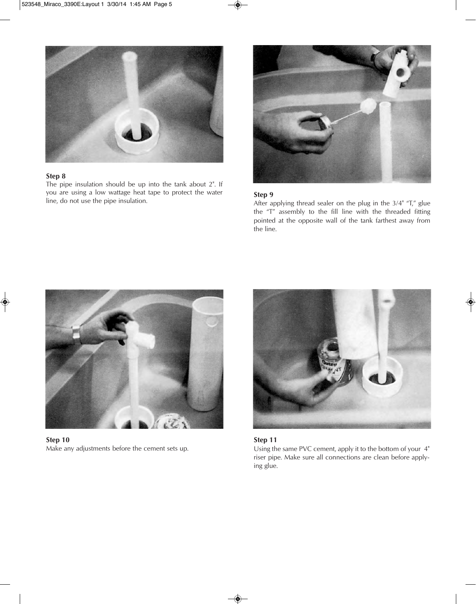

The pipe insulation should be up into the tank about 2". If you are using a low wattage heat tape to protect the water line, do not use the pipe insulation. **Step 9**



After applying thread sealer on the plug in the 3/4" "T," glue the "T" assembly to the fill line with the threaded fitting pointed at the opposite wall of the tank farthest away from the line.



**Step 10** Make any adjustments before the cement sets up.



#### **Step 11**

Using the same PVC cement, apply it to the bottom of your 4" riser pipe. Make sure all connections are clean before applying glue.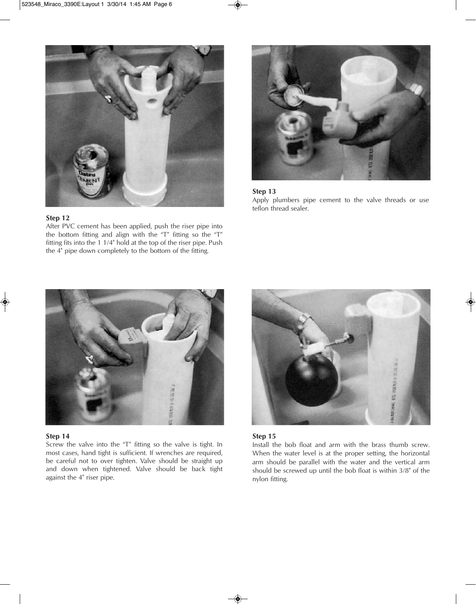

After PVC cement has been applied, push the riser pipe into the bottom fitting and align with the "T" fitting so the "T" fitting fits into the 1 1/4" hold at the top of the riser pipe. Push the 4" pipe down completely to the bottom of the fitting.



#### **Step 13**

Apply plumbers pipe cement to the valve threads or use teflon thread sealer.



#### **Step 14**

Screw the valve into the "T" fitting so the valve is tight. In most cases, hand tight is sufficient. If wrenches are required, be careful not to over tighten. Valve should be straight up and down when tightened. Valve should be back tight against the 4" riser pipe.



#### **Step 15**

Install the bob float and arm with the brass thumb screw. When the water level is at the proper setting, the horizontal arm should be parallel with the water and the vertical arm should be screwed up until the bob float is within 3/8" of the nylon fitting.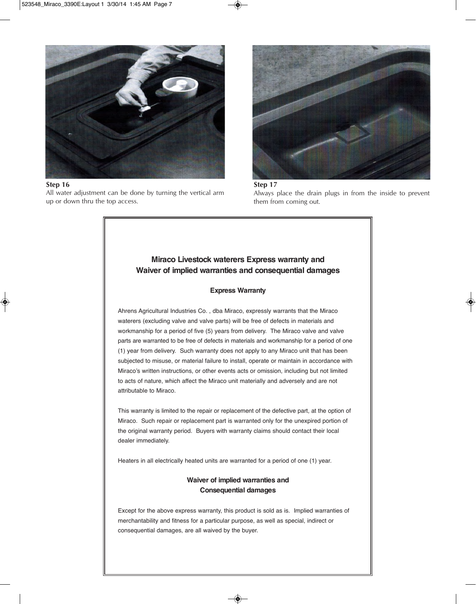

All water adjustment can be done by turning the vertical arm up or down thru the top access.



**Step 17** Always place the drain plugs in from the inside to prevent them from coming out.

### Miraco Livestock waterers Express warranty and Waiver of implied warranties and consequential damages

#### **Express Warranty**

Ahrens Agricultural Industries Co., dba Miraco, expressly warrants that the Miraco waterers (excluding valve and valve parts) will be free of defects in materials and workmanship for a period of five (5) years from delivery. The Miraco valve and valve parts are warranted to be free of defects in materials and workmanship for a period of one (1) year from delivery. Such warranty does not apply to any Miraco unit that has been subjected to misuse, or material failure to install, operate or maintain in accordance with Miraco's written instructions, or other events acts or omission, including but not limited to acts of nature, which affect the Miraco unit materially and adversely and are not attributable to Miraco.

This warranty is limited to the repair or replacement of the defective part, at the option of Miraco. Such repair or replacement part is warranted only for the unexpired portion of the original warranty period. Buyers with warranty claims should contact their local dealer immediately.

Heaters in all electrically heated units are warranted for a period of one (1) year.

#### **Waiver of implied warranties and Consequential damages**

Except for the above express warranty, this product is sold as is. Implied warranties of merchantability and fitness for a particular purpose, as well as special, indirect or consequential damages, are all waived by the buyer.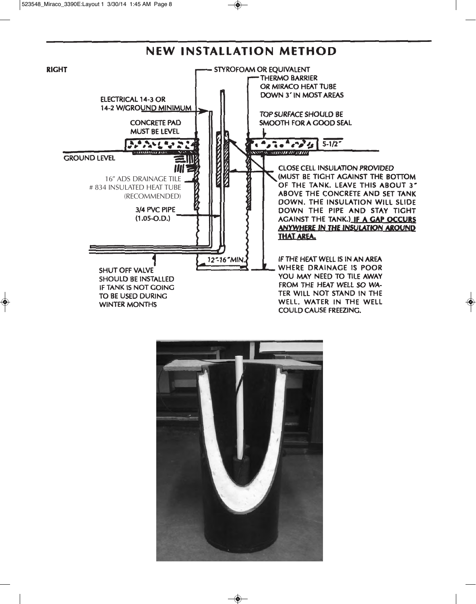

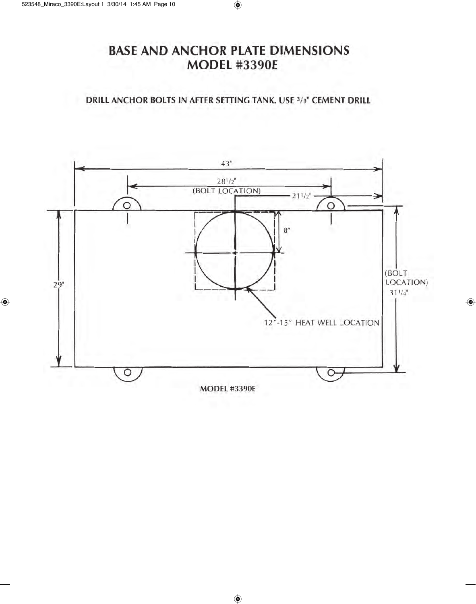# **BASE AND ANCHOR PLATE DIMENSIONS MODEL #3390E**

**DRILL ANCHOR BOLTS IN AFTER SETTING TANK, USE 3/8" CEMENT DRILL** 

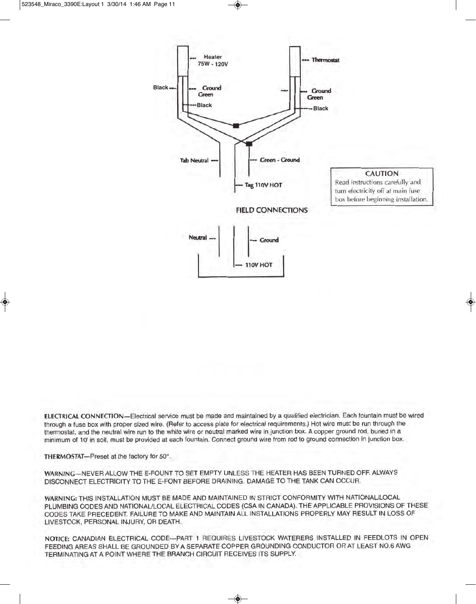

ELECTRICAL CONNECTION—Electrical service must be made and maintained by a qualified electrician. Each fountain must be wired through a fuse box with proper sized wire. (Refer to access plate for electrical requirements.) Hot wire must be run through the thermostat, and the neutral wire run to the white wire or neutral marked wire in junction box. A copper ground rod, buried in a minimum of 10' in soil, must be provided at each fountain. Connect ground wire from rod to ground connection in junction box.

THERMOSTAT-Preset at the factory for 50°.

WARNING-NEVER ALLOW THE E-FOUNT TO SET EMPTY UNLESS THE HEATER HAS BEEN TURNED OFF. ALWAYS DISCONNECT ELECTRICITY TO THE E-FONT BEFORE DRAINING. DAMAGE TO THE TANK CAN OCCUR.

WARNING: THIS INSTALLATION MUST BE MADE AND MAINTAINED IN STRICT CONFORMITY WITH NATIONAL/LOCAL PLUMBING CODES AND NATIONAL/LOCAL ELECTRICAL CODES (CSA IN CANADA). THE APPLICABLE PROVISIONS OF THESE CODES TAKE PRECEDENT. FAILURE TO MAKE AND MAINTAIN ALL INSTALLATIONS PROPERLY MAY RESULT IN LOSS OF LIVESTOCK, PERSONAL INJURY, OR DEATH.

NOTICE: CANADIAN ELECTRICAL CODE-PART 1 REQUIRES LIVESTOCK WATERERS INSTALLED IN FEEDLOTS IN OPEN FEEDING AREAS SHALL BE GROUNDED BY A SEPARATE COPPER GROUNDING CONDUCTOR OR AT LEAST NO.6 AWG TERMINATING AT A POINT WHERE THE BRANCH CIRCUIT RECEIVES ITS SUPPLY.